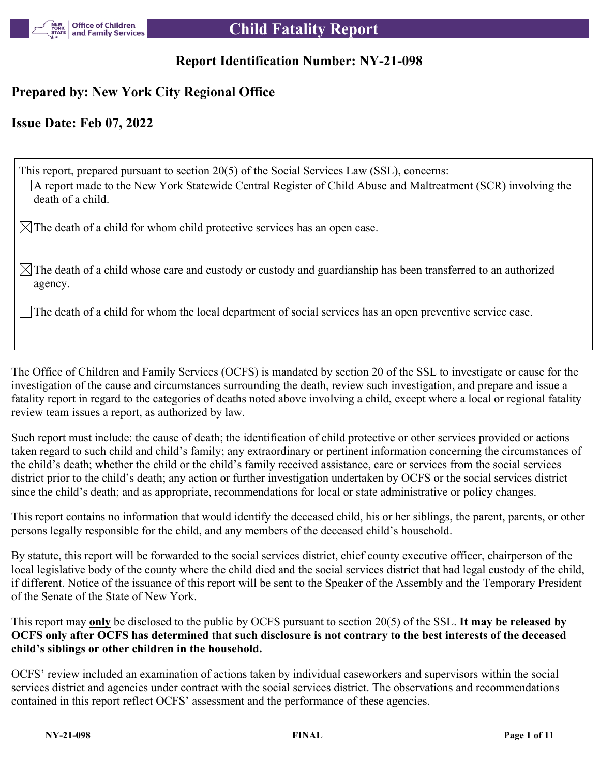

# **Report Identification Number: NY-21-098**

# **Prepared by: New York City Regional Office**

# **Issue Date: Feb 07, 2022**

| This report, prepared pursuant to section 20(5) of the Social Services Law (SSL), concerns:<br>$\Box$ A report made to the New York Statewide Central Register of Child Abuse and Maltreatment (SCR) involving the<br>death of a child. |
|-----------------------------------------------------------------------------------------------------------------------------------------------------------------------------------------------------------------------------------------|
| $\mathcal{B} \times \mathcal{C}$ The death of a child for whom child protective services has an open case.                                                                                                                              |
| $\mathbb{R}$ The death of a child whose care and custody or custody and guardianship has been transferred to an authorized<br>agency.                                                                                                   |
| $\lfloor \lfloor \frac{n}{2} \rfloor \rfloor$ The death of a child for whom the local department of social services has an open preventive service case.                                                                                |

The Office of Children and Family Services (OCFS) is mandated by section 20 of the SSL to investigate or cause for the investigation of the cause and circumstances surrounding the death, review such investigation, and prepare and issue a fatality report in regard to the categories of deaths noted above involving a child, except where a local or regional fatality review team issues a report, as authorized by law.

Such report must include: the cause of death; the identification of child protective or other services provided or actions taken regard to such child and child's family; any extraordinary or pertinent information concerning the circumstances of the child's death; whether the child or the child's family received assistance, care or services from the social services district prior to the child's death; any action or further investigation undertaken by OCFS or the social services district since the child's death; and as appropriate, recommendations for local or state administrative or policy changes.

This report contains no information that would identify the deceased child, his or her siblings, the parent, parents, or other persons legally responsible for the child, and any members of the deceased child's household.

By statute, this report will be forwarded to the social services district, chief county executive officer, chairperson of the local legislative body of the county where the child died and the social services district that had legal custody of the child, if different. Notice of the issuance of this report will be sent to the Speaker of the Assembly and the Temporary President of the Senate of the State of New York.

This report may **only** be disclosed to the public by OCFS pursuant to section 20(5) of the SSL. **It may be released by OCFS only after OCFS has determined that such disclosure is not contrary to the best interests of the deceased child's siblings or other children in the household.**

OCFS' review included an examination of actions taken by individual caseworkers and supervisors within the social services district and agencies under contract with the social services district. The observations and recommendations contained in this report reflect OCFS' assessment and the performance of these agencies.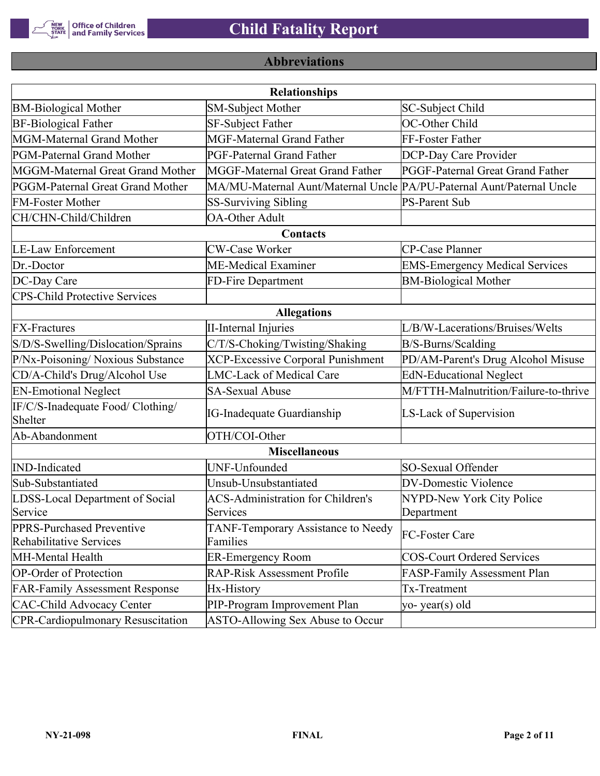

# **Abbreviations**

| <b>Relationships</b>                                 |                                                                       |                                       |  |  |  |  |  |
|------------------------------------------------------|-----------------------------------------------------------------------|---------------------------------------|--|--|--|--|--|
| <b>BM-Biological Mother</b>                          | <b>SM-Subject Mother</b>                                              | SC-Subject Child                      |  |  |  |  |  |
| <b>BF-Biological Father</b>                          | SF-Subject Father                                                     | OC-Other Child                        |  |  |  |  |  |
| MGM-Maternal Grand Mother                            | <b>MGF-Maternal Grand Father</b>                                      | FF-Foster Father                      |  |  |  |  |  |
| PGM-Paternal Grand Mother                            | PGF-Paternal Grand Father                                             | DCP-Day Care Provider                 |  |  |  |  |  |
| MGGM-Maternal Great Grand Mother                     | MGGF-Maternal Great Grand Father                                      | PGGF-Paternal Great Grand Father      |  |  |  |  |  |
| PGGM-Paternal Great Grand Mother                     | MA/MU-Maternal Aunt/Maternal Uncle PA/PU-Paternal Aunt/Paternal Uncle |                                       |  |  |  |  |  |
| <b>FM-Foster Mother</b>                              | <b>SS-Surviving Sibling</b>                                           | <b>PS-Parent Sub</b>                  |  |  |  |  |  |
| CH/CHN-Child/Children                                | <b>OA-Other Adult</b>                                                 |                                       |  |  |  |  |  |
|                                                      | Contacts                                                              |                                       |  |  |  |  |  |
| <b>LE-Law Enforcement</b>                            | <b>CW-Case Worker</b>                                                 | CP-Case Planner                       |  |  |  |  |  |
| Dr.-Doctor                                           | ME-Medical Examiner                                                   | <b>EMS-Emergency Medical Services</b> |  |  |  |  |  |
| DC-Day Care                                          | FD-Fire Department                                                    | <b>BM-Biological Mother</b>           |  |  |  |  |  |
| <b>CPS-Child Protective Services</b>                 |                                                                       |                                       |  |  |  |  |  |
|                                                      | <b>Allegations</b>                                                    |                                       |  |  |  |  |  |
| <b>FX-Fractures</b>                                  | <b>II-Internal Injuries</b>                                           | L/B/W-Lacerations/Bruises/Welts       |  |  |  |  |  |
| S/D/S-Swelling/Dislocation/Sprains                   | C/T/S-Choking/Twisting/Shaking                                        | B/S-Burns/Scalding                    |  |  |  |  |  |
| P/Nx-Poisoning/ Noxious Substance                    | <b>XCP-Excessive Corporal Punishment</b>                              | PD/AM-Parent's Drug Alcohol Misuse    |  |  |  |  |  |
| CD/A-Child's Drug/Alcohol Use                        | <b>LMC-Lack of Medical Care</b>                                       | <b>EdN-Educational Neglect</b>        |  |  |  |  |  |
| <b>EN-Emotional Neglect</b>                          | <b>SA-Sexual Abuse</b>                                                | M/FTTH-Malnutrition/Failure-to-thrive |  |  |  |  |  |
| IF/C/S-Inadequate Food/ Clothing/<br>Shelter         | <b>IG-Inadequate Guardianship</b>                                     | LS-Lack of Supervision                |  |  |  |  |  |
| Ab-Abandonment                                       | OTH/COI-Other                                                         |                                       |  |  |  |  |  |
|                                                      | <b>Miscellaneous</b>                                                  |                                       |  |  |  |  |  |
| <b>IND-Indicated</b>                                 | UNF-Unfounded                                                         | SO-Sexual Offender                    |  |  |  |  |  |
| Sub-Substantiated                                    | Unsub-Unsubstantiated                                                 | <b>DV-Domestic Violence</b>           |  |  |  |  |  |
| LDSS-Local Department of Social                      | <b>ACS-Administration for Children's</b>                              | NYPD-New York City Police             |  |  |  |  |  |
| Service                                              | Services                                                              | Department                            |  |  |  |  |  |
| PPRS-Purchased Preventive<br>Rehabilitative Services | TANF-Temporary Assistance to Needy<br>Families                        | FC-Foster Care                        |  |  |  |  |  |
| MH-Mental Health                                     | <b>ER-Emergency Room</b>                                              | <b>COS-Court Ordered Services</b>     |  |  |  |  |  |
| <b>OP-Order of Protection</b>                        | <b>RAP-Risk Assessment Profile</b>                                    | FASP-Family Assessment Plan           |  |  |  |  |  |
| <b>FAR-Family Assessment Response</b>                | Hx-History                                                            | Tx-Treatment                          |  |  |  |  |  |
| <b>CAC-Child Advocacy Center</b>                     | PIP-Program Improvement Plan                                          | yo-year(s) old                        |  |  |  |  |  |
| <b>CPR-Cardiopulmonary Resuscitation</b>             | ASTO-Allowing Sex Abuse to Occur                                      |                                       |  |  |  |  |  |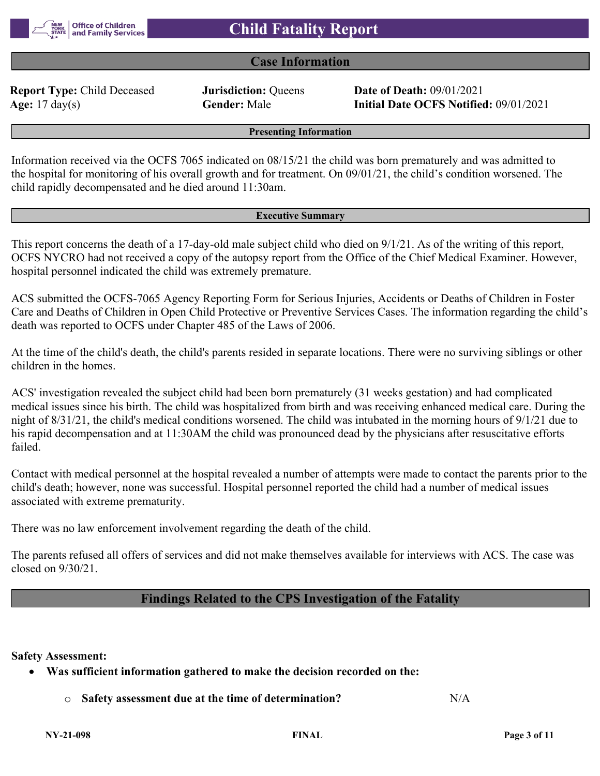

# **Case Information**

**Report Type:** Child Deceased **Jurisdiction:** Queens **Date of Death:** 09/01/2021

**Age:** 17 day(s) **Gender:** Male **Initial Date OCFS Notified:** 09/01/2021

**Presenting Information**

Information received via the OCFS 7065 indicated on 08/15/21 the child was born prematurely and was admitted to the hospital for monitoring of his overall growth and for treatment. On 09/01/21, the child's condition worsened. The child rapidly decompensated and he died around 11:30am.

#### **Executive Summary**

This report concerns the death of a 17-day-old male subject child who died on 9/1/21. As of the writing of this report, OCFS NYCRO had not received a copy of the autopsy report from the Office of the Chief Medical Examiner. However, hospital personnel indicated the child was extremely premature.

ACS submitted the OCFS-7065 Agency Reporting Form for Serious Injuries, Accidents or Deaths of Children in Foster Care and Deaths of Children in Open Child Protective or Preventive Services Cases. The information regarding the child's death was reported to OCFS under Chapter 485 of the Laws of 2006.

At the time of the child's death, the child's parents resided in separate locations. There were no surviving siblings or other children in the homes.

ACS' investigation revealed the subject child had been born prematurely (31 weeks gestation) and had complicated medical issues since his birth. The child was hospitalized from birth and was receiving enhanced medical care. During the night of 8/31/21, the child's medical conditions worsened. The child was intubated in the morning hours of 9/1/21 due to his rapid decompensation and at 11:30AM the child was pronounced dead by the physicians after resuscitative efforts failed.

Contact with medical personnel at the hospital revealed a number of attempts were made to contact the parents prior to the child's death; however, none was successful. Hospital personnel reported the child had a number of medical issues associated with extreme prematurity.

There was no law enforcement involvement regarding the death of the child.

The parents refused all offers of services and did not make themselves available for interviews with ACS. The case was closed on 9/30/21.

# **Findings Related to the CPS Investigation of the Fatality**

**Safety Assessment:**

- **Was sufficient information gathered to make the decision recorded on the:**
	- o **Safety assessment due at the time of determination?** N/A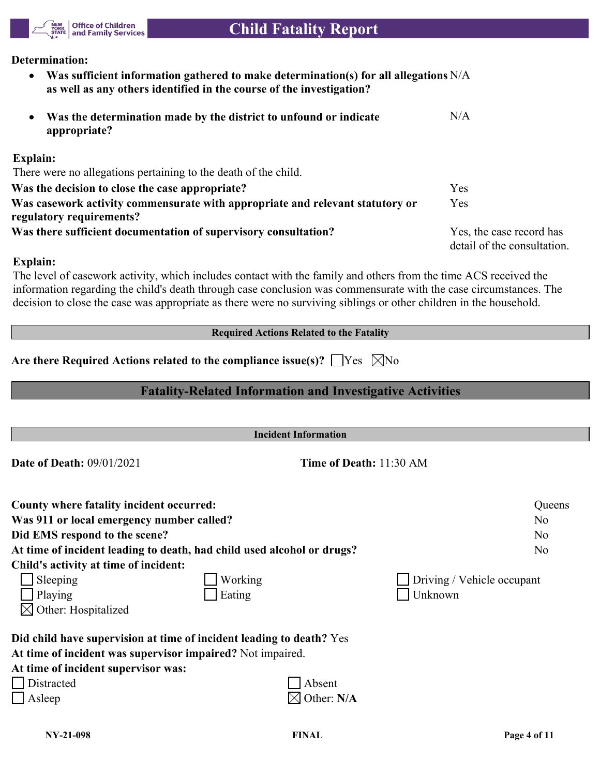

## **Determination:**

 **Was sufficient information gathered to make determination(s) for all allegations**  N/A **as well as any others identified in the course of the investigation?**

| Was the determination made by the district to unfound or indicate<br>$\bullet$<br>appropriate?            | N/A                                                    |
|-----------------------------------------------------------------------------------------------------------|--------------------------------------------------------|
| <b>Explain:</b>                                                                                           |                                                        |
| There were no allegations pertaining to the death of the child.                                           |                                                        |
| Was the decision to close the case appropriate?                                                           | <b>Yes</b>                                             |
| Was casework activity commensurate with appropriate and relevant statutory or<br>regulatory requirements? | <b>Yes</b>                                             |
| Was there sufficient documentation of supervisory consultation?                                           | Yes, the case record has<br>detail of the consultation |

## **Explain:**

The level of casework activity, which includes contact with the family and others from the time ACS received the information regarding the child's death through case conclusion was commensurate with the case circumstances. The decision to close the case was appropriate as there were no surviving siblings or other children in the household.

|  | <b>Required Actions Related to the Fatality</b> |  |  |
|--|-------------------------------------------------|--|--|
|  |                                                 |  |  |

|  | Are there Required Actions related to the compliance issue(s)? $\Box$ Yes $\ \boxtimes$ No |  |  |  |
|--|--------------------------------------------------------------------------------------------|--|--|--|
|--|--------------------------------------------------------------------------------------------|--|--|--|

# **Fatality-Related Information and Investigative Activities**

| <b>Incident Information</b>                                                                                                                                                                       |                                |                            |  |  |  |
|---------------------------------------------------------------------------------------------------------------------------------------------------------------------------------------------------|--------------------------------|----------------------------|--|--|--|
| <b>Date of Death: 09/01/2021</b>                                                                                                                                                                  | <b>Time of Death: 11:30 AM</b> |                            |  |  |  |
| County where fatality incident occurred:                                                                                                                                                          |                                | Queens                     |  |  |  |
| Was 911 or local emergency number called?                                                                                                                                                         |                                | N <sub>o</sub>             |  |  |  |
| Did EMS respond to the scene?                                                                                                                                                                     |                                | N <sub>o</sub>             |  |  |  |
| At time of incident leading to death, had child used alcohol or drugs?                                                                                                                            |                                | N <sub>o</sub>             |  |  |  |
| Child's activity at time of incident:                                                                                                                                                             |                                |                            |  |  |  |
| Sleeping<br>Working                                                                                                                                                                               |                                | Driving / Vehicle occupant |  |  |  |
| Playing<br>Eating                                                                                                                                                                                 |                                | Unknown                    |  |  |  |
| Other: Hospitalized                                                                                                                                                                               |                                |                            |  |  |  |
| Did child have supervision at time of incident leading to death? Yes<br>At time of incident was supervisor impaired? Not impaired.<br>At time of incident supervisor was:<br>Distracted<br>Asleep | Absent<br>Other: N/A           |                            |  |  |  |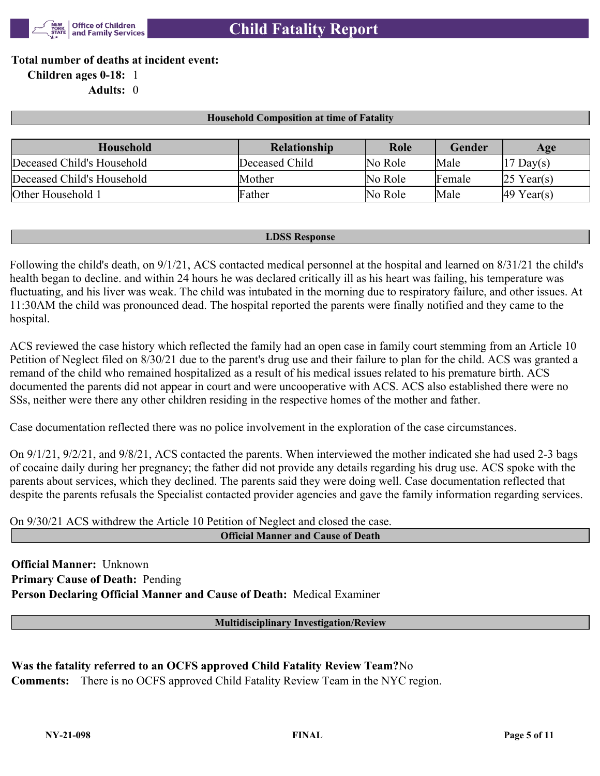

**Total number of deaths at incident event:**

**Children ages 0-18:** 1

**Adults:** 0

## **Household Composition at time of Fatality**

| Household                  | <b>Relationship</b> | Role    | Gender | Age                    |
|----------------------------|---------------------|---------|--------|------------------------|
| Deceased Child's Household | Deceased Child      | No Role | Male   | $ 17 \text{ Day}(s) $  |
| Deceased Child's Household | Mother              | No Role | Female | $25$ Year(s)           |
| Other Household 1          | Father              | No Role | Male   | $ 49 \text{ Year}(s) $ |

#### **LDSS Response**

Following the child's death, on 9/1/21, ACS contacted medical personnel at the hospital and learned on 8/31/21 the child's health began to decline. and within 24 hours he was declared critically ill as his heart was failing, his temperature was fluctuating, and his liver was weak. The child was intubated in the morning due to respiratory failure, and other issues. At 11:30AM the child was pronounced dead. The hospital reported the parents were finally notified and they came to the hospital.

ACS reviewed the case history which reflected the family had an open case in family court stemming from an Article 10 Petition of Neglect filed on 8/30/21 due to the parent's drug use and their failure to plan for the child. ACS was granted a remand of the child who remained hospitalized as a result of his medical issues related to his premature birth. ACS documented the parents did not appear in court and were uncooperative with ACS. ACS also established there were no SSs, neither were there any other children residing in the respective homes of the mother and father.

Case documentation reflected there was no police involvement in the exploration of the case circumstances.

On 9/1/21, 9/2/21, and 9/8/21, ACS contacted the parents. When interviewed the mother indicated she had used 2-3 bags of cocaine daily during her pregnancy; the father did not provide any details regarding his drug use. ACS spoke with the parents about services, which they declined. The parents said they were doing well. Case documentation reflected that despite the parents refusals the Specialist contacted provider agencies and gave the family information regarding services.

On 9/30/21 ACS withdrew the Article 10 Petition of Neglect and closed the case.

**Official Manner and Cause of Death**

**Official Manner:** Unknown **Primary Cause of Death:** Pending **Person Declaring Official Manner and Cause of Death:** Medical Examiner

**Multidisciplinary Investigation/Review**

**Was the fatality referred to an OCFS approved Child Fatality Review Team?**No **Comments:** There is no OCFS approved Child Fatality Review Team in the NYC region.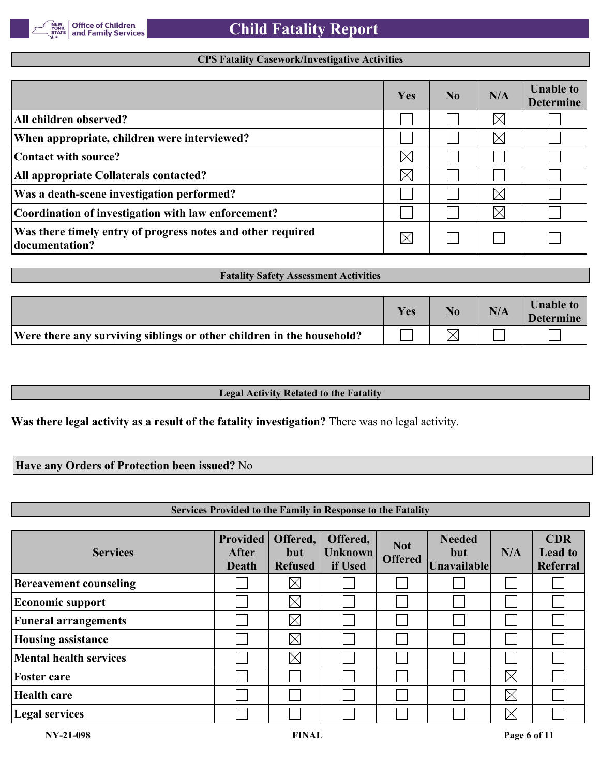

## **CPS Fatality Casework/Investigative Activities**

|                                                                               | Yes         | No. | N/A      | <b>Unable to</b><br><b>Determine</b> |
|-------------------------------------------------------------------------------|-------------|-----|----------|--------------------------------------|
| All children observed?                                                        |             |     | $\times$ |                                      |
| When appropriate, children were interviewed?                                  |             |     | $\times$ |                                      |
| Contact with source?                                                          | $\times$    |     |          |                                      |
| All appropriate Collaterals contacted?                                        | $\boxtimes$ |     |          |                                      |
| Was a death-scene investigation performed?                                    |             |     | $\times$ |                                      |
| Coordination of investigation with law enforcement?                           |             |     | $\times$ |                                      |
| Was there timely entry of progress notes and other required<br>documentation? | $\times$    |     |          |                                      |

|                                                                       | Yes | No. | N/A | <b>Unable to</b><br><b>Determine</b> |
|-----------------------------------------------------------------------|-----|-----|-----|--------------------------------------|
| Were there any surviving siblings or other children in the household? |     |     |     |                                      |

**Fatality Safety Assessment Activities**

#### **Legal Activity Related to the Fatality**

**Was there legal activity as a result of the fatality investigation?** There was no legal activity.

## **Have any Orders of Protection been issued?** No

## **Services Provided to the Family in Response to the Fatality**

| <b>Services</b>               | <b>Provided</b><br><b>After</b><br>Death | Offered,<br>but<br><b>Refused</b> | Offered,<br><b>Unknown</b><br>if Used | <b>Not</b><br><b>Offered</b> | <b>Needed</b><br>but<br><b>Unavailable</b> | N/A         | <b>CDR</b><br><b>Lead to</b><br>Referral |
|-------------------------------|------------------------------------------|-----------------------------------|---------------------------------------|------------------------------|--------------------------------------------|-------------|------------------------------------------|
| <b>Bereavement counseling</b> |                                          | $\times$                          |                                       |                              |                                            |             |                                          |
| <b>Economic support</b>       |                                          | $\times$                          |                                       |                              |                                            |             |                                          |
| <b>Funeral arrangements</b>   |                                          | $\boxtimes$                       |                                       |                              |                                            |             |                                          |
| <b>Housing assistance</b>     |                                          | $\boxtimes$                       |                                       |                              |                                            |             |                                          |
| <b>Mental health services</b> |                                          | $\boxtimes$                       |                                       |                              |                                            |             |                                          |
| <b>Foster care</b>            |                                          |                                   |                                       |                              |                                            | $\boxtimes$ |                                          |
| <b>Health care</b>            |                                          |                                   |                                       |                              |                                            | $\boxtimes$ |                                          |
| <b>Legal services</b>         |                                          |                                   |                                       |                              |                                            | $\boxtimes$ |                                          |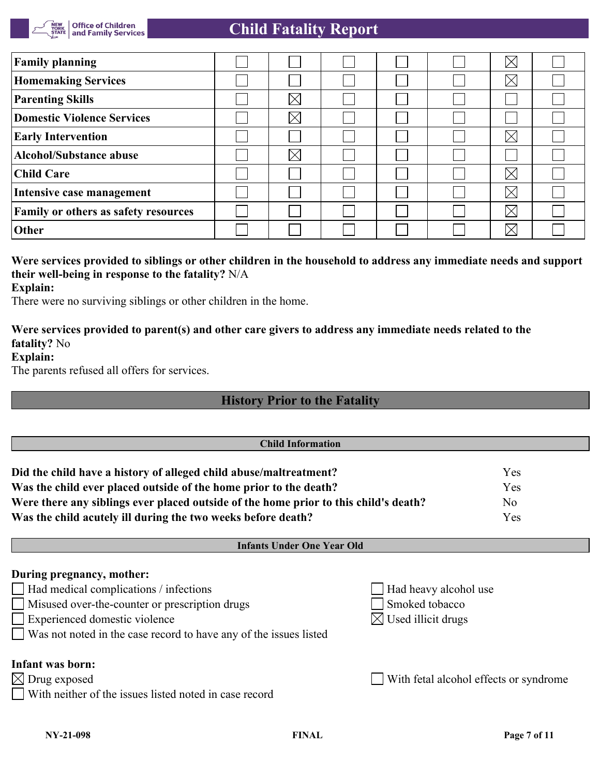

# **Child Fatality Report**

| <b>Family planning</b>               |             |  | $\boxtimes$ |  |
|--------------------------------------|-------------|--|-------------|--|
| <b>Homemaking Services</b>           |             |  | $\boxtimes$ |  |
| <b>Parenting Skills</b>              | $\Join$     |  |             |  |
| <b>Domestic Violence Services</b>    | $\boxtimes$ |  |             |  |
| <b>Early Intervention</b>            |             |  | $\times$    |  |
| <b>Alcohol/Substance abuse</b>       | $\boxtimes$ |  |             |  |
| Child Care                           |             |  | $\times$    |  |
| Intensive case management            |             |  | $\boxtimes$ |  |
| Family or others as safety resources |             |  | $\times$    |  |
| <b>Other</b>                         |             |  | $\times$    |  |

# **Were services provided to siblings or other children in the household to address any immediate needs and support their well-being in response to the fatality?** N/A

#### **Explain:**

There were no surviving siblings or other children in the home.

## **Were services provided to parent(s) and other care givers to address any immediate needs related to the fatality?** No

## **Explain:**

The parents refused all offers for services.

# **History Prior to the Fatality**

| <b>Child Information</b>                                                             |                       |                                        |
|--------------------------------------------------------------------------------------|-----------------------|----------------------------------------|
| Did the child have a history of alleged child abuse/maltreatment?                    |                       | Yes                                    |
| Was the child ever placed outside of the home prior to the death?                    |                       | Yes                                    |
| Were there any siblings ever placed outside of the home prior to this child's death? |                       | No                                     |
| Was the child acutely ill during the two weeks before death?                         |                       | Yes                                    |
| <b>Infants Under One Year Old</b>                                                    |                       |                                        |
| During pregnancy, mother:                                                            |                       |                                        |
| $\Box$ Had medical complications / infections                                        | Had heavy alcohol use |                                        |
| Misused over-the-counter or prescription drugs                                       | Smoked tobacco        |                                        |
| Experienced domestic violence                                                        | Used illicit drugs    |                                        |
| Was not noted in the case record to have any of the issues listed                    |                       |                                        |
| Infant was born:                                                                     |                       |                                        |
| $\boxtimes$ Drug exposed                                                             |                       | With fetal alcohol effects or syndrome |
| With neither of the issues listed noted in case record                               |                       |                                        |
|                                                                                      |                       |                                        |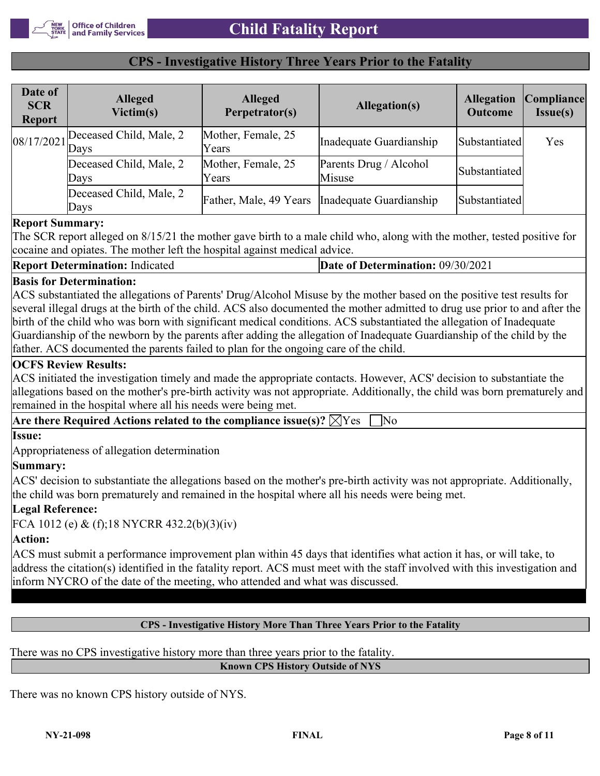## **CPS - Investigative History Three Years Prior to the Fatality**

| Date of<br><b>SCR</b><br><b>Report</b> | <b>Alleged</b><br>Victim(s)            | <b>Alleged</b><br>Perpetrator(s) | Allegation(s)                                    | <b>Allegation</b><br><b>Outcome</b> | Compliance <br>Issue(s) |
|----------------------------------------|----------------------------------------|----------------------------------|--------------------------------------------------|-------------------------------------|-------------------------|
|                                        | $[08/17/2021]$ Deceased Child, Male, 2 | Mother, Female, 25<br>Years      | Inadequate Guardianship                          | Substantiated                       | Yes                     |
|                                        | Deceased Child, Male, 2<br>Days        | Mother, Female, 25<br>Years      | Parents Drug / Alcohol<br>Misuse                 | Substantiated                       |                         |
|                                        | Deceased Child, Male, 2<br>Days        |                                  | Father, Male, 49 Years   Inadequate Guardianship | Substantiated                       |                         |

## **Report Summary:**

The SCR report alleged on 8/15/21 the mother gave birth to a male child who, along with the mother, tested positive for cocaine and opiates. The mother left the hospital against medical advice.

| <b>Report Determination: Indicated</b> | <b>Date of Determination: 09/30/2021</b> |
|----------------------------------------|------------------------------------------|
|----------------------------------------|------------------------------------------|

## **Basis for Determination:**

ACS substantiated the allegations of Parents' Drug/Alcohol Misuse by the mother based on the positive test results for several illegal drugs at the birth of the child. ACS also documented the mother admitted to drug use prior to and after the birth of the child who was born with significant medical conditions. ACS substantiated the allegation of Inadequate Guardianship of the newborn by the parents after adding the allegation of Inadequate Guardianship of the child by the father. ACS documented the parents failed to plan for the ongoing care of the child.

## **OCFS Review Results:**

ACS initiated the investigation timely and made the appropriate contacts. However, ACS' decision to substantiate the allegations based on the mother's pre-birth activity was not appropriate. Additionally, the child was born prematurely and remained in the hospital where all his needs were being met.

| Are there Required Actions related to the compliance issue(s)? $\boxtimes$ Yes |  |
|--------------------------------------------------------------------------------|--|
| llssue:                                                                        |  |

Appropriateness of allegation determination

# **Summary:**

ACS' decision to substantiate the allegations based on the mother's pre-birth activity was not appropriate. Additionally, the child was born prematurely and remained in the hospital where all his needs were being met.

# **Legal Reference:**

FCA 1012 (e) & (f);18 NYCRR 432.2(b)(3)(iv)

# **Action:**

ACS must submit a performance improvement plan within 45 days that identifies what action it has, or will take, to address the citation(s) identified in the fatality report. ACS must meet with the staff involved with this investigation and inform NYCRO of the date of the meeting, who attended and what was discussed.

# **CPS - Investigative History More Than Three Years Prior to the Fatality**

There was no CPS investigative history more than three years prior to the fatality.

**Known CPS History Outside of NYS**

There was no known CPS history outside of NYS.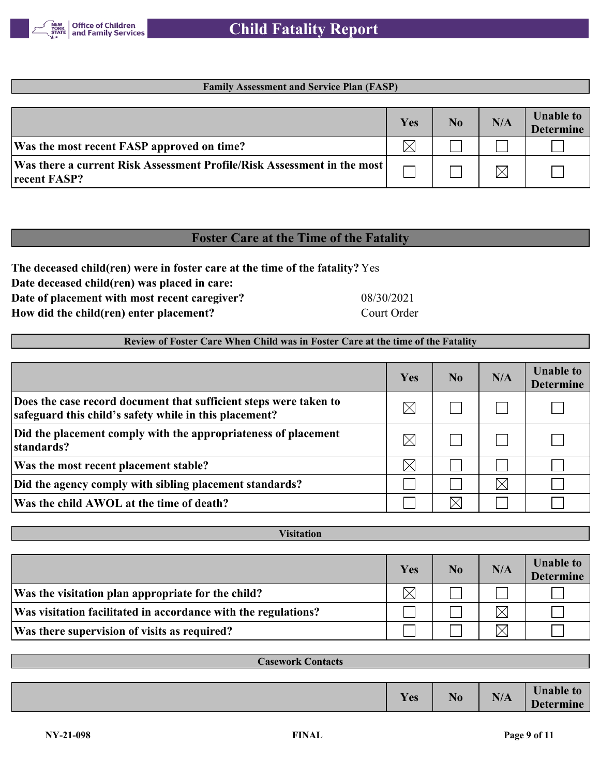

## **Family Assessment and Service Plan (FASP)**

|                                                                                           | Yes | No | N/A | <b>Unable to</b><br><b>Determine</b> |
|-------------------------------------------------------------------------------------------|-----|----|-----|--------------------------------------|
| Was the most recent FASP approved on time?                                                |     |    |     |                                      |
| Was there a current Risk Assessment Profile/Risk Assessment in the most  <br>recent FASP? |     |    |     |                                      |

# **Foster Care at the Time of the Fatality**

**The deceased child(ren) were in foster care at the time of the fatality?** Yes

**Date deceased child(ren) was placed in care:**

**Date of placement with most recent caregiver?** 08/30/2021

**How did the child(ren) enter placement?** Court Order

## **Review of Foster Care When Child was in Foster Care at the time of the Fatality**

|                                                                                                                             | Yes         | N <sub>0</sub> | N/A         | <b>Unable to</b><br><b>Determine</b> |
|-----------------------------------------------------------------------------------------------------------------------------|-------------|----------------|-------------|--------------------------------------|
| Does the case record document that sufficient steps were taken to<br>safeguard this child's safety while in this placement? | $\boxtimes$ |                |             |                                      |
| Did the placement comply with the appropriateness of placement<br>standards?                                                | $\boxtimes$ |                |             |                                      |
| Was the most recent placement stable?                                                                                       | $\boxtimes$ |                |             |                                      |
| Did the agency comply with sibling placement standards?                                                                     |             |                | $\boxtimes$ |                                      |
| Was the child AWOL at the time of death?                                                                                    |             |                |             |                                      |

| <b>Visitation</b>                                              |     |    |     |                                      |  |
|----------------------------------------------------------------|-----|----|-----|--------------------------------------|--|
|                                                                |     |    |     |                                      |  |
|                                                                | Yes | No | N/A | <b>Unable to</b><br><b>Determine</b> |  |
| Was the visitation plan appropriate for the child?             |     |    |     |                                      |  |
| Was visitation facilitated in accordance with the regulations? |     |    |     |                                      |  |
| Was there supervision of visits as required?                   |     |    |     |                                      |  |

| <b>Casework Contacts</b> |     |                |     |                                      |
|--------------------------|-----|----------------|-----|--------------------------------------|
|                          |     |                |     |                                      |
|                          | Yes | N <sub>0</sub> | N/A | <b>Unable to</b><br><b>Determine</b> |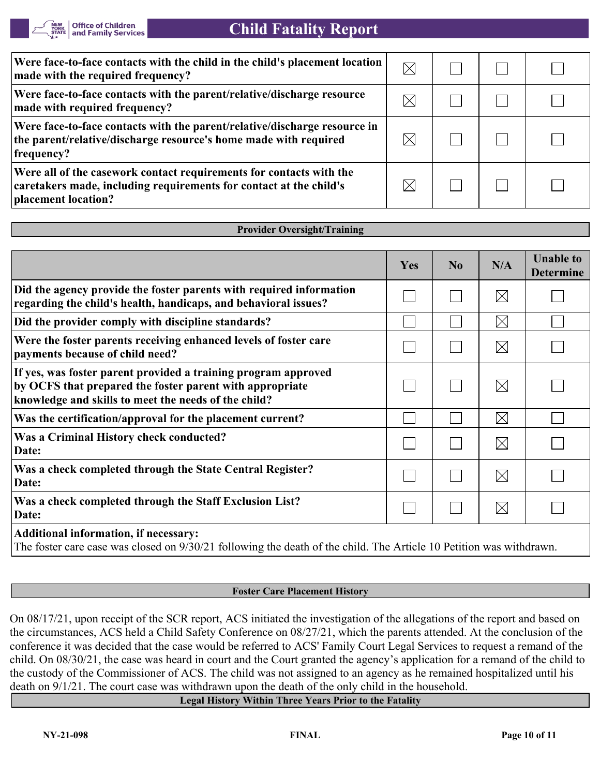

| Were face-to-face contacts with the child in the child's placement location<br>made with the required frequency?                                                 | $\boxtimes$ |  |  |
|------------------------------------------------------------------------------------------------------------------------------------------------------------------|-------------|--|--|
| Were face-to-face contacts with the parent/relative/discharge resource<br>made with required frequency?                                                          |             |  |  |
| Were face-to-face contacts with the parent/relative/discharge resource in<br>the parent/relative/discharge resource's home made with required<br>frequency?      |             |  |  |
| Were all of the casework contact requirements for contacts with the<br>caretakers made, including requirements for contact at the child's<br>placement location? |             |  |  |

#### **Provider Oversight/Training**

|                                                                                                                                                                                    | <b>Yes</b> | No | N/A         | <b>Unable to</b><br><b>Determine</b> |
|------------------------------------------------------------------------------------------------------------------------------------------------------------------------------------|------------|----|-------------|--------------------------------------|
| Did the agency provide the foster parents with required information<br>regarding the child's health, handicaps, and behavioral issues?                                             |            |    | $\boxtimes$ |                                      |
| Did the provider comply with discipline standards?                                                                                                                                 |            |    | $\times$    |                                      |
| Were the foster parents receiving enhanced levels of foster care<br>payments because of child need?                                                                                |            |    | $\boxtimes$ |                                      |
| If yes, was foster parent provided a training program approved<br>by OCFS that prepared the foster parent with appropriate<br>knowledge and skills to meet the needs of the child? |            |    | $\boxtimes$ |                                      |
| Was the certification/approval for the placement current?                                                                                                                          |            |    | $\boxtimes$ |                                      |
| Was a Criminal History check conducted?<br>Date:                                                                                                                                   |            |    | $\boxtimes$ |                                      |
| Was a check completed through the State Central Register?<br>Date:                                                                                                                 |            |    | $\boxtimes$ |                                      |
| Was a check completed through the Staff Exclusion List?<br>Date:                                                                                                                   |            |    | $\boxtimes$ |                                      |
| $\mathbf{A}$ is the state of $\mathbf{A}$ is the state of $\mathbf{A}$ is the state of $\mathbf{A}$ is the state of $\mathbf{A}$                                                   |            |    |             |                                      |

**Additional information, if necessary:**

The foster care case was closed on 9/30/21 following the death of the child. The Article 10 Petition was withdrawn.

## **Foster Care Placement History**

On 08/17/21, upon receipt of the SCR report, ACS initiated the investigation of the allegations of the report and based on the circumstances, ACS held a Child Safety Conference on 08/27/21, which the parents attended. At the conclusion of the conference it was decided that the case would be referred to ACS' Family Court Legal Services to request a remand of the child. On 08/30/21, the case was heard in court and the Court granted the agency's application for a remand of the child to the custody of the Commissioner of ACS. The child was not assigned to an agency as he remained hospitalized until his death on 9/1/21. The court case was withdrawn upon the death of the only child in the household.

**Legal History Within Three Years Prior to the Fatality**